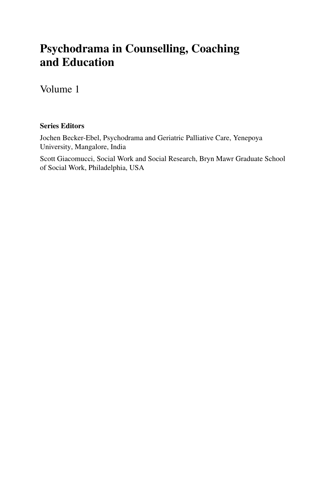## **Psychodrama in Counselling, Coaching and Education**

#### Volume 1

#### **Series Editors**

Jochen Becker-Ebel, Psychodrama and Geriatric Palliative Care, Yenepoya University, Mangalore, India

Scott Giacomucci, Social Work and Social Research, Bryn Mawr Graduate School of Social Work, Philadelphia, USA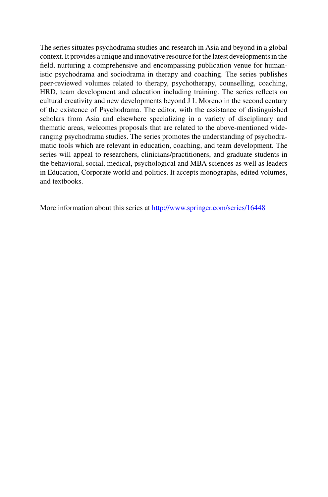The series situates psychodrama studies and research in Asia and beyond in a global context. It provides a unique and innovative resource for the latest developments in the field, nurturing a comprehensive and encompassing publication venue for humanistic psychodrama and sociodrama in therapy and coaching. The series publishes peer-reviewed volumes related to therapy, psychotherapy, counselling, coaching, HRD, team development and education including training. The series reflects on cultural creativity and new developments beyond J L Moreno in the second century of the existence of Psychodrama. The editor, with the assistance of distinguished scholars from Asia and elsewhere specializing in a variety of disciplinary and thematic areas, welcomes proposals that are related to the above-mentioned wideranging psychodrama studies. The series promotes the understanding of psychodramatic tools which are relevant in education, coaching, and team development. The series will appeal to researchers, clinicians/practitioners, and graduate students in the behavioral, social, medical, psychological and MBA sciences as well as leaders in Education, Corporate world and politics. It accepts monographs, edited volumes, and textbooks.

More information about this series at <http://www.springer.com/series/16448>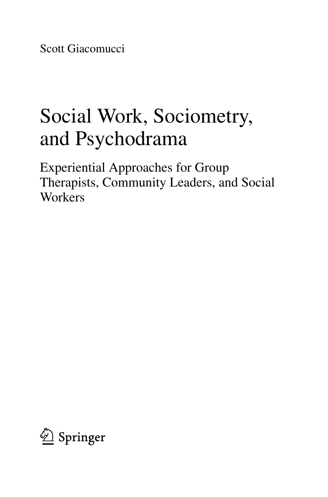Scott Giacomucci

# Social Work, Sociometry, and Psychodrama

Experiential Approaches for Group Therapists, Community Leaders, and Social **Workers** 

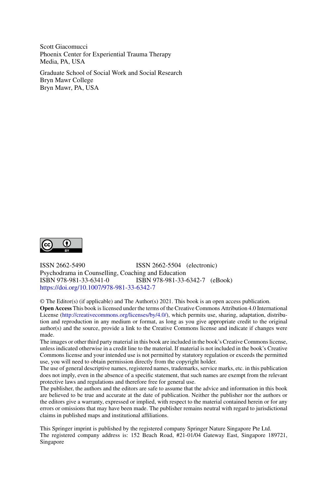Scott Giacomucci Phoenix Center for Experiential Trauma Therapy Media, PA, USA

Graduate School of Social Work and Social Research Bryn Mawr College Bryn Mawr, PA, USA



ISSN 2662-5490 ISSN 2662-5504 (electronic) Psychodrama in Counselling, Coaching and Education ISBN 978-981-33-6342-7 (eBook) <https://doi.org/10.1007/978-981-33-6342-7>

© The Editor(s) (if applicable) and The Author(s) 2021. This book is an open access publication.

**Open Access** This book is licensed under the terms of the Creative Commons Attribution 4.0 International License [\(http://creativecommons.org/licenses/by/4.0/\)](http://creativecommons.org/licenses/by/4.0/), which permits use, sharing, adaptation, distribution and reproduction in any medium or format, as long as you give appropriate credit to the original author(s) and the source, provide a link to the Creative Commons license and indicate if changes were made.

The images or other third party material in this book are included in the book's Creative Commons license, unless indicated otherwise in a credit line to the material. If material is not included in the book's Creative Commons license and your intended use is not permitted by statutory regulation or exceeds the permitted use, you will need to obtain permission directly from the copyright holder.

The use of general descriptive names, registered names, trademarks, service marks, etc. in this publication does not imply, even in the absence of a specific statement, that such names are exempt from the relevant protective laws and regulations and therefore free for general use.

The publisher, the authors and the editors are safe to assume that the advice and information in this book are believed to be true and accurate at the date of publication. Neither the publisher nor the authors or the editors give a warranty, expressed or implied, with respect to the material contained herein or for any errors or omissions that may have been made. The publisher remains neutral with regard to jurisdictional claims in published maps and institutional affiliations.

This Springer imprint is published by the registered company Springer Nature Singapore Pte Ltd. The registered company address is: 152 Beach Road, #21-01/04 Gateway East, Singapore 189721, Singapore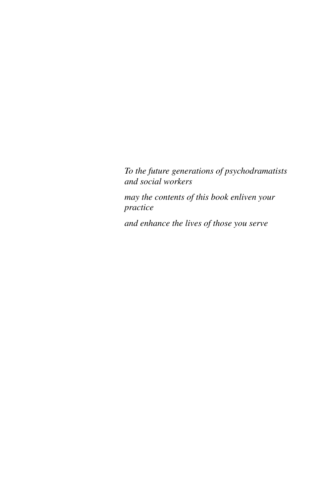*To the future generations of psychodramatists and social workers*

*may the contents of this book enliven your practice*

*and enhance the lives of those you serve*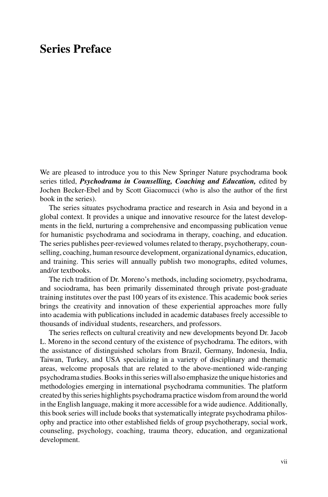## **Series Preface**

We are pleased to introduce you to this New Springer Nature psychodrama book series titled, *Psychodrama in Counselling, Coaching and Education,* edited by Jochen Becker-Ebel and by Scott Giacomucci (who is also the author of the first book in the series).

The series situates psychodrama practice and research in Asia and beyond in a global context. It provides a unique and innovative resource for the latest developments in the field, nurturing a comprehensive and encompassing publication venue for humanistic psychodrama and sociodrama in therapy, coaching, and education. The series publishes peer-reviewed volumes related to therapy, psychotherapy, counselling, coaching, human resource development, organizational dynamics, education, and training. This series will annually publish two monographs, edited volumes, and/or textbooks.

The rich tradition of Dr. Moreno's methods, including sociometry, psychodrama, and sociodrama, has been primarily disseminated through private post-graduate training institutes over the past 100 years of its existence. This academic book series brings the creativity and innovation of these experiential approaches more fully into academia with publications included in academic databases freely accessible to thousands of individual students, researchers, and professors.

The series reflects on cultural creativity and new developments beyond Dr. Jacob L. Moreno in the second century of the existence of psychodrama. The editors, with the assistance of distinguished scholars from Brazil, Germany, Indonesia, India, Taiwan, Turkey, and USA specializing in a variety of disciplinary and thematic areas, welcome proposals that are related to the above-mentioned wide-ranging psychodrama studies. Books in this series will also emphasize the unique histories and methodologies emerging in international psychodrama communities. The platform created by this series highlights psychodrama practice wisdom from around the world in the English language, making it more accessible for a wide audience. Additionally, this book series will include books that systematically integrate psychodrama philosophy and practice into other established fields of group psychotherapy, social work, counseling, psychology, coaching, trauma theory, education, and organizational development.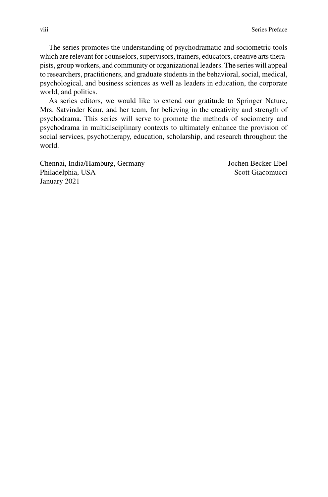The series promotes the understanding of psychodramatic and sociometric tools which are relevant for counselors, supervisors, trainers, educators, creative arts therapists, group workers, and community or organizational leaders. The series will appeal to researchers, practitioners, and graduate students in the behavioral, social, medical, psychological, and business sciences as well as leaders in education, the corporate world, and politics.

As series editors, we would like to extend our gratitude to Springer Nature, Mrs. Satvinder Kaur, and her team, for believing in the creativity and strength of psychodrama. This series will serve to promote the methods of sociometry and psychodrama in multidisciplinary contexts to ultimately enhance the provision of social services, psychotherapy, education, scholarship, and research throughout the world.

Chennai, India/Hamburg, Germany Philadelphia, USA January 2021

Jochen Becker-Ebel Scott Giacomucci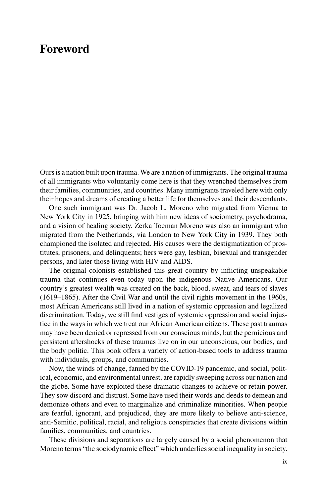#### **Foreword**

Ours is a nation built upon trauma.We are a nation of immigrants. The original trauma of all immigrants who voluntarily come here is that they wrenched themselves from their families, communities, and countries. Many immigrants traveled here with only their hopes and dreams of creating a better life for themselves and their descendants.

One such immigrant was Dr. Jacob L. Moreno who migrated from Vienna to New York City in 1925, bringing with him new ideas of sociometry, psychodrama, and a vision of healing society. Zerka Toeman Moreno was also an immigrant who migrated from the Netherlands, via London to New York City in 1939. They both championed the isolated and rejected. His causes were the destigmatization of prostitutes, prisoners, and delinquents; hers were gay, lesbian, bisexual and transgender persons, and later those living with HIV and AIDS.

The original colonists established this great country by inflicting unspeakable trauma that continues even today upon the indigenous Native Americans. Our country's greatest wealth was created on the back, blood, sweat, and tears of slaves (1619–1865). After the Civil War and until the civil rights movement in the 1960s, most African Americans still lived in a nation of systemic oppression and legalized discrimination. Today, we still find vestiges of systemic oppression and social injustice in the ways in which we treat our African American citizens. These past traumas may have been denied or repressed from our conscious minds, but the pernicious and persistent aftershocks of these traumas live on in our unconscious, our bodies, and the body politic. This book offers a variety of action-based tools to address trauma with individuals, groups, and communities.

Now, the winds of change, fanned by the COVID-19 pandemic, and social, political, economic, and environmental unrest, are rapidly sweeping across our nation and the globe. Some have exploited these dramatic changes to achieve or retain power. They sow discord and distrust. Some have used their words and deeds to demean and demonize others and even to marginalize and criminalize minorities. When people are fearful, ignorant, and prejudiced, they are more likely to believe anti-science, anti-Semitic, political, racial, and religious conspiracies that create divisions within families, communities, and countries.

These divisions and separations are largely caused by a social phenomenon that Moreno terms "the sociodynamic effect" which underlies social inequality in society.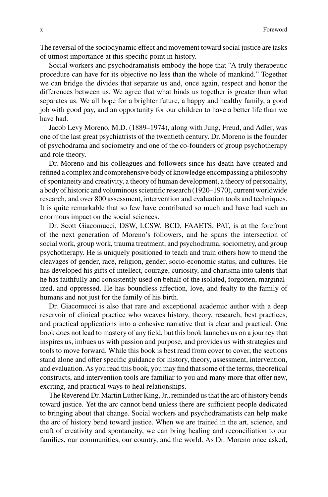The reversal of the sociodynamic effect and movement toward social justice are tasks of utmost importance at this specific point in history.

Social workers and psychodramatists embody the hope that "A truly therapeutic procedure can have for its objective no less than the whole of mankind." Together we can bridge the divides that separate us and, once again, respect and honor the differences between us. We agree that what binds us together is greater than what separates us. We all hope for a brighter future, a happy and healthy family, a good job with good pay, and an opportunity for our children to have a better life than we have had.

Jacob Levy Moreno, M.D. (1889–1974), along with Jung, Freud, and Adler, was one of the last great psychiatrists of the twentieth century. Dr. Moreno is the founder of psychodrama and sociometry and one of the co-founders of group psychotherapy and role theory.

Dr. Moreno and his colleagues and followers since his death have created and refined a complex and comprehensive body of knowledge encompassing a philosophy of spontaneity and creativity, a theory of human development, a theory of personality, a body of historic and voluminous scientific research (1920–1970), current worldwide research, and over 800 assessment, intervention and evaluation tools and techniques. It is quite remarkable that so few have contributed so much and have had such an enormous impact on the social sciences.

Dr. Scott Giacomucci, DSW, LCSW, BCD, FAAETS, PAT, is at the forefront of the next generation of Moreno's followers, and he spans the intersection of social work, group work, trauma treatment, and psychodrama, sociometry, and group psychotherapy. He is uniquely positioned to teach and train others how to mend the cleavages of gender, race, religion, gender, socio-economic status, and cultures. He has developed his gifts of intellect, courage, curiosity, and charisma into talents that he has faithfully and consistently used on behalf of the isolated, forgotten, marginalized, and oppressed. He has boundless affection, love, and fealty to the family of humans and not just for the family of his birth.

Dr. Giacomucci is also that rare and exceptional academic author with a deep reservoir of clinical practice who weaves history, theory, research, best practices, and practical applications into a cohesive narrative that is clear and practical. One book does not lead to mastery of any field, but this book launches us on a journey that inspires us, imbues us with passion and purpose, and provides us with strategies and tools to move forward. While this book is best read from cover to cover, the sections stand alone and offer specific guidance for history, theory, assessment, intervention, and evaluation. As you read this book, you may find that some of the terms, theoretical constructs, and intervention tools are familiar to you and many more that offer new, exciting, and practical ways to heal relationships.

The Reverend Dr. Martin Luther King, Jr., reminded us that the arc of history bends toward justice. Yet the arc cannot bend unless there are sufficient people dedicated to bringing about that change. Social workers and psychodramatists can help make the arc of history bend toward justice. When we are trained in the art, science, and craft of creativity and spontaneity, we can bring healing and reconciliation to our families, our communities, our country, and the world. As Dr. Moreno once asked,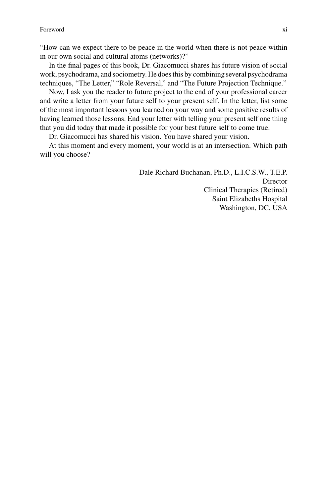"How can we expect there to be peace in the world when there is not peace within in our own social and cultural atoms (networks)?"

In the final pages of this book, Dr. Giacomucci shares his future vision of social work, psychodrama, and sociometry. He does this by combining several psychodrama techniques, "The Letter," "Role Reversal," and "The Future Projection Technique."

Now, I ask you the reader to future project to the end of your professional career and write a letter from your future self to your present self. In the letter, list some of the most important lessons you learned on your way and some positive results of having learned those lessons. End your letter with telling your present self one thing that you did today that made it possible for your best future self to come true.

Dr. Giacomucci has shared his vision. You have shared your vision.

At this moment and every moment, your world is at an intersection. Which path will you choose?

> Dale Richard Buchanan, Ph.D., L.I.C.S.W., T.E.P. Director Clinical Therapies (Retired) Saint Elizabeths Hospital Washington, DC, USA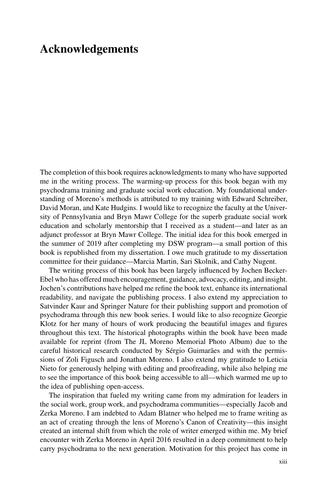#### **Acknowledgements**

The completion of this book requires acknowledgments to many who have supported me in the writing process. The warming-up process for this book began with my psychodrama training and graduate social work education. My foundational understanding of Moreno's methods is attributed to my training with Edward Schreiber, David Moran, and Kate Hudgins. I would like to recognize the faculty at the University of Pennsylvania and Bryn Mawr College for the superb graduate social work education and scholarly mentorship that I received as a student—and later as an adjunct professor at Bryn Mawr College. The initial idea for this book emerged in the summer of 2019 after completing my DSW program—a small portion of this book is republished from my dissertation. I owe much gratitude to my dissertation committee for their guidance—Marcia Martin, Sari Skolnik, and Cathy Nugent.

The writing process of this book has been largely influenced by Jochen Becker-Ebel who has offered much encouragement, guidance, advocacy, editing, and insight. Jochen's contributions have helped me refine the book text, enhance its international readability, and navigate the publishing process. I also extend my appreciation to Satvinder Kaur and Springer Nature for their publishing support and promotion of psychodrama through this new book series. I would like to also recognize Georgie Klotz for her many of hours of work producing the beautiful images and figures throughout this text. The historical photographs within the book have been made available for reprint (from The JL Moreno Memorial Photo Album) due to the careful historical research conducted by Sérgio Guimarães and with the permissions of Zoli Figusch and Jonathan Moreno. I also extend my gratitude to Leticia Nieto for generously helping with editing and proofreading, while also helping me to see the importance of this book being accessible to all—which warmed me up to the idea of publishing open-access.

The inspiration that fueled my writing came from my admiration for leaders in the social work, group work, and psychodrama communities—especially Jacob and Zerka Moreno. I am indebted to Adam Blatner who helped me to frame writing as an act of creating through the lens of Moreno's Canon of Creativity—this insight created an internal shift from which the role of writer emerged within me. My brief encounter with Zerka Moreno in April 2016 resulted in a deep commitment to help carry psychodrama to the next generation. Motivation for this project has come in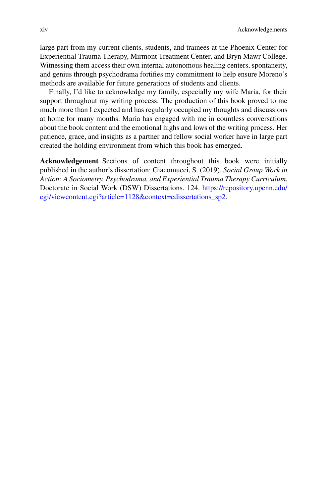large part from my current clients, students, and trainees at the Phoenix Center for Experiential Trauma Therapy, Mirmont Treatment Center, and Bryn Mawr College. Witnessing them access their own internal autonomous healing centers, spontaneity, and genius through psychodrama fortifies my commitment to help ensure Moreno's methods are available for future generations of students and clients.

Finally, I'd like to acknowledge my family, especially my wife Maria, for their support throughout my writing process. The production of this book proved to me much more than I expected and has regularly occupied my thoughts and discussions at home for many months. Maria has engaged with me in countless conversations about the book content and the emotional highs and lows of the writing process. Her patience, grace, and insights as a partner and fellow social worker have in large part created the holding environment from which this book has emerged.

**Acknowledgement** Sections of content throughout this book were initially published in the author's dissertation: Giacomucci, S. (2019). *Social Group Work in Action: A Sociometry, Psychodrama, and Experiential Trauma Therapy Curriculum*. Doctorate in Social Work (DSW) Dissertations. 124. https://repository.upenn.edu/ [cgi/viewcontent.cgi?article=1128&context=edissertations\\_sp2.](https://repository.upenn.edu/cgi/viewcontent.cgi?article=1128&context=edissertations_sp2)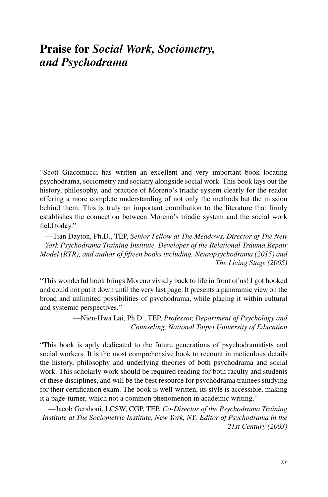## **Praise for** *Social Work, Sociometry, and Psychodrama*

"Scott Giacomucci has written an excellent and very important book locating psychodrama, sociometry and sociatry alongside social work. This book lays out the history, philosophy, and practice of Moreno's triadic system clearly for the reader offering a more complete understanding of not only the methods but the mission behind them. This is truly an important contribution to the literature that firmly establishes the connection between Moreno's triadic system and the social work field today."

—Tian Dayton, Ph.D., TEP, *Senior Fellow at The Meadows, Director of The New York Psychodrama Training Institute, Developer of the Relational Trauma Repair Model (RTR), and author of fifteen books including, Neuropsychodrama (2015) and The Living Stage (2005)*

"This wonderful book brings Moreno vividly back to life in front of us! I got hooked and could not put it down until the very last page. It presents a panoramic view on the broad and unlimited possibilities of psychodrama, while placing it within cultural and systemic perspectives."

> —Nien-Hwa Lai, Ph.D., TEP, *Professor, Department of Psychology and Counseling, National Taipei University of Education*

"This book is aptly dedicated to the future generations of psychodramatists and social workers. It is the most comprehensive book to recount in meticulous details the history, philosophy and underlying theories of both psychodrama and social work. This scholarly work should be required reading for both faculty and students of these disciplines, and will be the best resource for psychodrama trainees studying for their certification exam. The book is well-written, its style is accessible, making it a page-turner, which not a common phenomenon in academic writing."

—Jacob Gershoni, LCSW, CGP, TEP, *Co-Director of the Psychodrama Training Institute at The Sociometric Institute, New York, NY; Editor of Psychodrama in the 21st Century (2003)*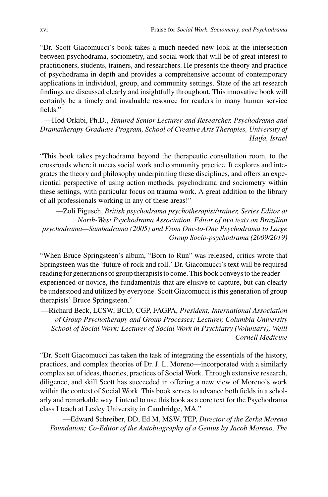"Dr. Scott Giacomucci's book takes a much-needed new look at the intersection between psychodrama, sociometry, and social work that will be of great interest to practitioners, students, trainers, and researchers. He presents the theory and practice of psychodrama in depth and provides a comprehensive account of contemporary applications in individual, group, and community settings. State of the art research findings are discussed clearly and insightfully throughout. This innovative book will certainly be a timely and invaluable resource for readers in many human service fields."

—Hod Orkibi, Ph.D., *Tenured Senior Lecturer and Researcher, Psychodrama and Dramatherapy Graduate Program, School of Creative Arts Therapies, University of Haifa, Israel*

"This book takes psychodrama beyond the therapeutic consultation room, to the crossroads where it meets social work and community practice. It explores and integrates the theory and philosophy underpinning these disciplines, and offers an experiential perspective of using action methods, psychodrama and sociometry within these settings, with particular focus on trauma work. A great addition to the library of all professionals working in any of these areas!"

—Zoli Figusch, *British psychodrama psychotherapist/trainer, Series Editor at North-West Psychodrama Association, Editor of two texts on Brazilian psychodrama—Sambadrama (2005) and From One-to-One Psychodrama to Large Group Socio-psychodrama (2009/2019)*

"When Bruce Springsteen's album, "Born to Run" was released, critics wrote that Springsteen was the 'future of rock and roll.' Dr. Giacomucci's text will be required reading for generations of group therapists to come. This book conveys to the reader experienced or novice, the fundamentals that are elusive to capture, but can clearly be understood and utilized by everyone. Scott Giacomucci is this generation of group therapists' Bruce Springsteen."

—Richard Beck, LCSW, BCD, CGP, FAGPA, *President, International Association of Group Psychotherapy and Group Processes; Lecturer, Columbia University School of Social Work; Lecturer of Social Work in Psychiatry (Voluntary), Weill Cornell Medicine*

"Dr. Scott Giacomucci has taken the task of integrating the essentials of the history, practices, and complex theories of Dr. J. L. Moreno—incorporated with a similarly complex set of ideas, theories, practices of Social Work. Through extensive research, diligence, and skill Scott has succeeded in offering a new view of Moreno's work within the context of Social Work. This book serves to advance both fields in a scholarly and remarkable way. I intend to use this book as a core text for the Psychodrama class I teach at Lesley University in Cambridge, MA."

—Edward Schreiber, DD, Ed.M, MSW, TEP, *Director of the Zerka Moreno Foundation; Co-Editor of the Autobiography of a Genius by Jacob Moreno, The*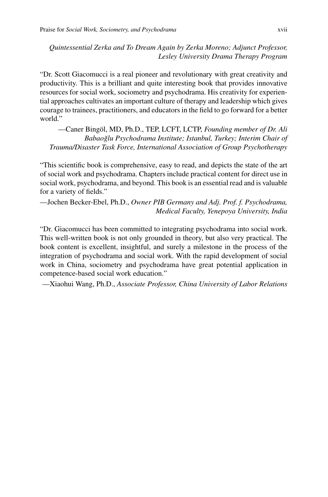*Quintessential Zerka and To Dream Again by Zerka Moreno; Adjunct Professor, Lesley University Drama Therapy Program*

"Dr. Scott Giacomucci is a real pioneer and revolutionary with great creativity and productivity. This is a brilliant and quite interesting book that provides innovative resources for social work, sociometry and psychodrama. His creativity for experiential approaches cultivates an important culture of therapy and leadership which gives courage to trainees, practitioners, and educators in the field to go forward for a better world."

—Caner Bingöl, MD, Ph.D., TEP, LCFT, LCTP, *Founding member of Dr. Ali Babao˘glu Psychodrama Institute; Istanbul, Turkey; Interim Chair of Trauma/Disaster Task Force, International Association of Group Psychotherapy*

"This scientific book is comprehensive, easy to read, and depicts the state of the art of social work and psychodrama. Chapters include practical content for direct use in social work, psychodrama, and beyond. This book is an essential read and is valuable for a variety of fields."

—Jochen Becker-Ebel, Ph.D., *Owner PIB Germany and Adj. Prof. f. Psychodrama, Medical Faculty, Yenepoya University, India*

"Dr. Giacomucci has been committed to integrating psychodrama into social work. This well-written book is not only grounded in theory, but also very practical. The book content is excellent, insightful, and surely a milestone in the process of the integration of psychodrama and social work. With the rapid development of social work in China, sociometry and psychodrama have great potential application in competence-based social work education."

—Xiaohui Wang, Ph.D., *Associate Professor, China University of Labor Relations*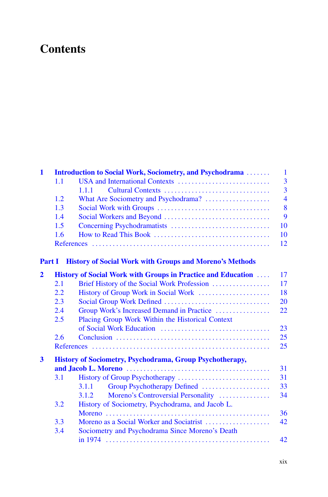# **Contents**

| $\mathbf{1}$   |     | <b>Introduction to Social Work, Sociometry, and Psychodrama </b>     | $\mathbf{1}$            |
|----------------|-----|----------------------------------------------------------------------|-------------------------|
|                | 1.1 |                                                                      | $\overline{\mathbf{3}}$ |
|                |     | Cultural Contexts<br>1.1.1                                           | $\overline{3}$          |
|                | 1.2 | What Are Sociometry and Psychodrama?                                 | $\overline{4}$          |
|                | 1.3 |                                                                      | 8                       |
|                | 1.4 |                                                                      | 9                       |
|                | 1.5 |                                                                      | 10                      |
|                | 1.6 |                                                                      | 10                      |
|                |     |                                                                      | 12                      |
|                |     |                                                                      |                         |
| <b>Part I</b>  |     | <b>History of Social Work with Groups and Moreno's Methods</b>       |                         |
| $\overline{2}$ |     | <b>History of Social Work with Groups in Practice and Education </b> | 17                      |
|                | 2.1 | Brief History of the Social Work Profession                          | 17                      |
|                | 2.2 |                                                                      | 18                      |
|                | 2.3 |                                                                      | 20                      |
|                | 2.4 | Group Work's Increased Demand in Practice                            | 22                      |
|                | 2.5 | Placing Group Work Within the Historical Context                     |                         |
|                |     |                                                                      | 23                      |
|                | 2.6 |                                                                      | 25                      |
|                |     |                                                                      | 25                      |
| $\mathbf{3}$   |     | <b>History of Sociometry, Psychodrama, Group Psychotherapy,</b>      |                         |
|                |     |                                                                      | 31                      |
|                | 3.1 |                                                                      | 31                      |
|                |     | Group Psychotherapy Defined<br>3.1.1                                 | 33                      |
|                |     | Moreno's Controversial Personality<br>3.1.2                          | 34                      |
|                | 3.2 | History of Sociometry, Psychodrama, and Jacob L.                     |                         |
|                |     |                                                                      | 36                      |
|                | 3.3 | Moreno as a Social Worker and Sociatrist                             | 42                      |
|                | 3.4 | Sociometry and Psychodrama Since Moreno's Death                      |                         |
|                |     |                                                                      | 42                      |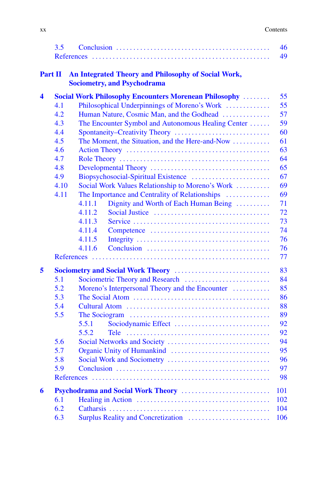| <b>References</b><br><b>Part II</b><br>An Integrated Theory and Philosophy of Social Work,<br><b>Sociometry, and Psychodrama</b><br><b>Social Work Philosophy Encounters Morenean Philosophy </b><br>$\overline{\mathbf{4}}$<br>Philosophical Underpinnings of Moreno's Work<br>4.1<br>4.2<br>Human Nature, Cosmic Man, and the Godhead<br>4.3<br>The Encounter Symbol and Autonomous Healing Center<br>4.4<br>Spontaneity-Creativity Theory<br>4.5<br>The Moment, the Situation, and the Here-and-Now<br>4.6<br>4.7<br>4.8<br>4.9<br>4.10<br>Social Work Values Relationship to Moreno's Work<br>4.11<br>The Importance and Centrality of Relationships<br>Dignity and Worth of Each Human Being<br>4.11.1<br>4.11.2<br>4.11.3<br>4.11.4 | 3.5 | 46  |
|-------------------------------------------------------------------------------------------------------------------------------------------------------------------------------------------------------------------------------------------------------------------------------------------------------------------------------------------------------------------------------------------------------------------------------------------------------------------------------------------------------------------------------------------------------------------------------------------------------------------------------------------------------------------------------------------------------------------------------------------|-----|-----|
|                                                                                                                                                                                                                                                                                                                                                                                                                                                                                                                                                                                                                                                                                                                                           |     | 49  |
|                                                                                                                                                                                                                                                                                                                                                                                                                                                                                                                                                                                                                                                                                                                                           |     |     |
|                                                                                                                                                                                                                                                                                                                                                                                                                                                                                                                                                                                                                                                                                                                                           |     |     |
|                                                                                                                                                                                                                                                                                                                                                                                                                                                                                                                                                                                                                                                                                                                                           |     |     |
|                                                                                                                                                                                                                                                                                                                                                                                                                                                                                                                                                                                                                                                                                                                                           |     | 55  |
|                                                                                                                                                                                                                                                                                                                                                                                                                                                                                                                                                                                                                                                                                                                                           |     | 55  |
|                                                                                                                                                                                                                                                                                                                                                                                                                                                                                                                                                                                                                                                                                                                                           |     | 57  |
|                                                                                                                                                                                                                                                                                                                                                                                                                                                                                                                                                                                                                                                                                                                                           |     | 59  |
|                                                                                                                                                                                                                                                                                                                                                                                                                                                                                                                                                                                                                                                                                                                                           |     | 60  |
|                                                                                                                                                                                                                                                                                                                                                                                                                                                                                                                                                                                                                                                                                                                                           |     | 61  |
|                                                                                                                                                                                                                                                                                                                                                                                                                                                                                                                                                                                                                                                                                                                                           |     | 63  |
|                                                                                                                                                                                                                                                                                                                                                                                                                                                                                                                                                                                                                                                                                                                                           |     | 64  |
|                                                                                                                                                                                                                                                                                                                                                                                                                                                                                                                                                                                                                                                                                                                                           |     | 65  |
|                                                                                                                                                                                                                                                                                                                                                                                                                                                                                                                                                                                                                                                                                                                                           |     | 67  |
|                                                                                                                                                                                                                                                                                                                                                                                                                                                                                                                                                                                                                                                                                                                                           |     | 69  |
|                                                                                                                                                                                                                                                                                                                                                                                                                                                                                                                                                                                                                                                                                                                                           |     | 69  |
|                                                                                                                                                                                                                                                                                                                                                                                                                                                                                                                                                                                                                                                                                                                                           |     | 71  |
|                                                                                                                                                                                                                                                                                                                                                                                                                                                                                                                                                                                                                                                                                                                                           |     | 72  |
|                                                                                                                                                                                                                                                                                                                                                                                                                                                                                                                                                                                                                                                                                                                                           |     | 73  |
|                                                                                                                                                                                                                                                                                                                                                                                                                                                                                                                                                                                                                                                                                                                                           |     | 74  |
| 4.11.5                                                                                                                                                                                                                                                                                                                                                                                                                                                                                                                                                                                                                                                                                                                                    |     | 76  |
| 4.11.6                                                                                                                                                                                                                                                                                                                                                                                                                                                                                                                                                                                                                                                                                                                                    |     | 76  |
|                                                                                                                                                                                                                                                                                                                                                                                                                                                                                                                                                                                                                                                                                                                                           |     | 77  |
| 5                                                                                                                                                                                                                                                                                                                                                                                                                                                                                                                                                                                                                                                                                                                                         |     | 83  |
| 5.1                                                                                                                                                                                                                                                                                                                                                                                                                                                                                                                                                                                                                                                                                                                                       |     | 84  |
| 5.2<br>Moreno's Interpersonal Theory and the Encounter                                                                                                                                                                                                                                                                                                                                                                                                                                                                                                                                                                                                                                                                                    |     | 85  |
| 5.3                                                                                                                                                                                                                                                                                                                                                                                                                                                                                                                                                                                                                                                                                                                                       |     | 86  |
| 5.4                                                                                                                                                                                                                                                                                                                                                                                                                                                                                                                                                                                                                                                                                                                                       |     | 88  |
| 5.5                                                                                                                                                                                                                                                                                                                                                                                                                                                                                                                                                                                                                                                                                                                                       |     | 89  |
| 5.5.1                                                                                                                                                                                                                                                                                                                                                                                                                                                                                                                                                                                                                                                                                                                                     |     | 92  |
| 5.5.2                                                                                                                                                                                                                                                                                                                                                                                                                                                                                                                                                                                                                                                                                                                                     |     | 92  |
| 5.6                                                                                                                                                                                                                                                                                                                                                                                                                                                                                                                                                                                                                                                                                                                                       |     | 94  |
| 5.7                                                                                                                                                                                                                                                                                                                                                                                                                                                                                                                                                                                                                                                                                                                                       |     | 95  |
| 5.8                                                                                                                                                                                                                                                                                                                                                                                                                                                                                                                                                                                                                                                                                                                                       |     | 96  |
| 5.9                                                                                                                                                                                                                                                                                                                                                                                                                                                                                                                                                                                                                                                                                                                                       |     | 97  |
|                                                                                                                                                                                                                                                                                                                                                                                                                                                                                                                                                                                                                                                                                                                                           |     | 98  |
| Psychodrama and Social Work Theory<br>6                                                                                                                                                                                                                                                                                                                                                                                                                                                                                                                                                                                                                                                                                                   |     | 101 |
| 6.1                                                                                                                                                                                                                                                                                                                                                                                                                                                                                                                                                                                                                                                                                                                                       |     | 102 |
| 6.2                                                                                                                                                                                                                                                                                                                                                                                                                                                                                                                                                                                                                                                                                                                                       |     | 104 |
| 6.3                                                                                                                                                                                                                                                                                                                                                                                                                                                                                                                                                                                                                                                                                                                                       |     | 106 |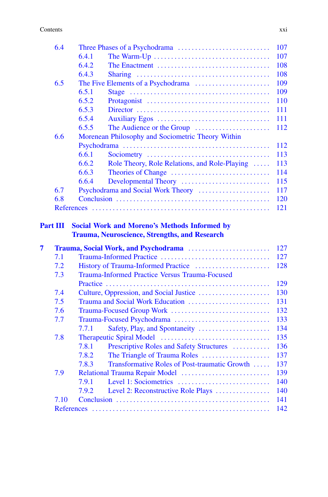|   | 6.4             |       |                                                      | 107 |
|---|-----------------|-------|------------------------------------------------------|-----|
|   |                 | 6.4.1 |                                                      | 107 |
|   |                 | 6.4.2 | The Enactment                                        | 108 |
|   |                 | 6.4.3 |                                                      | 108 |
|   | 6.5             |       | The Five Elements of a Psychodrama                   | 109 |
|   |                 | 6.5.1 |                                                      | 109 |
|   |                 | 6.5.2 |                                                      | 110 |
|   |                 | 6.5.3 |                                                      | 111 |
|   |                 | 6.5.4 |                                                      | 111 |
|   |                 | 6.5.5 |                                                      | 112 |
|   | 6.6             |       | Morenean Philosophy and Sociometric Theory Within    |     |
|   |                 |       |                                                      | 112 |
|   |                 | 6.6.1 |                                                      | 113 |
|   |                 | 6.6.2 | Role Theory, Role Relations, and Role-Playing        | 113 |
|   |                 | 6.6.3 |                                                      | 114 |
|   |                 | 6.6.4 | Developmental Theory                                 | 115 |
|   | 6.7             |       | Psychodrama and Social Work Theory                   | 117 |
|   | 6.8             |       |                                                      | 120 |
|   |                 |       |                                                      | 121 |
|   | <b>Part III</b> |       | <b>Social Work and Moreno's Methods Informed by</b>  |     |
|   |                 |       | <b>Trauma, Neuroscience, Strengths, and Research</b> |     |
| 7 |                 |       | Trauma, Social Work, and Psychodrama                 | 127 |
|   |                 |       |                                                      |     |
|   | 7.1             |       |                                                      | 127 |
|   | 7.2             |       | History of Trauma-Informed Practice                  | 128 |
|   | 7.3             |       | Trauma-Informed Practice Versus Trauma-Focused       |     |
|   |                 |       |                                                      | 129 |
|   | 7.4             |       |                                                      | 130 |
|   | 7.5             |       | Trauma and Social Work Education                     | 131 |
|   | 7.6             |       | Trauma-Focused Group Work                            | 132 |
|   | 7.7             |       | Trauma-Focused Psychodrama                           | 133 |
|   |                 | 7.7.1 | Safety, Play, and Spontaneity                        | 134 |
|   | 7.8             |       |                                                      | 135 |
|   |                 | 7.8.1 | Prescriptive Roles and Safety Structures             | 136 |
|   |                 | 7.8.2 | The Triangle of Trauma Roles                         | 137 |
|   |                 | 7.8.3 | Transformative Roles of Post-traumatic Growth        | 137 |
|   | 7.9             |       |                                                      | 139 |
|   |                 | 7.9.1 |                                                      | 140 |
|   |                 | 7.9.2 | Level 2: Reconstructive Role Plays                   | 140 |
|   | 7.10            |       |                                                      | 141 |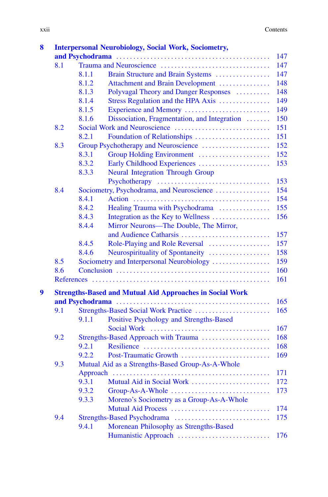| 8.1                                                                    |       |                                                                                                                                      |  |  |  |  |
|------------------------------------------------------------------------|-------|--------------------------------------------------------------------------------------------------------------------------------------|--|--|--|--|
|                                                                        |       |                                                                                                                                      |  |  |  |  |
|                                                                        | 8.1.1 | Brain Structure and Brain Systems                                                                                                    |  |  |  |  |
|                                                                        | 8.1.2 | Attachment and Brain Development                                                                                                     |  |  |  |  |
|                                                                        | 8.1.3 | Polyvagal Theory and Danger Responses                                                                                                |  |  |  |  |
|                                                                        | 8.1.4 | Stress Regulation and the HPA Axis                                                                                                   |  |  |  |  |
|                                                                        | 8.1.5 | Experience and Memory                                                                                                                |  |  |  |  |
|                                                                        | 8.1.6 | Dissociation, Fragmentation, and Integration                                                                                         |  |  |  |  |
| 8.2                                                                    |       |                                                                                                                                      |  |  |  |  |
|                                                                        | 8.2.1 | Foundation of Relationships                                                                                                          |  |  |  |  |
| 8.3                                                                    |       |                                                                                                                                      |  |  |  |  |
|                                                                        | 8.3.1 | Group Holding Environment                                                                                                            |  |  |  |  |
|                                                                        | 8.3.2 | Early Childhood Experiences                                                                                                          |  |  |  |  |
|                                                                        | 8.3.3 | <b>Neural Integration Through Group</b>                                                                                              |  |  |  |  |
|                                                                        |       | Psychotherapy                                                                                                                        |  |  |  |  |
| 8.4                                                                    |       | Sociometry, Psychodrama, and Neuroscience                                                                                            |  |  |  |  |
|                                                                        | 8.4.1 |                                                                                                                                      |  |  |  |  |
|                                                                        | 8.4.2 | Healing Trauma with Psychodrama                                                                                                      |  |  |  |  |
|                                                                        | 8.4.3 | Integration as the Key to Wellness                                                                                                   |  |  |  |  |
|                                                                        | 8.4.4 | Mirror Neurons-The Double, The Mirror,                                                                                               |  |  |  |  |
|                                                                        |       |                                                                                                                                      |  |  |  |  |
|                                                                        | 8.4.5 | Role-Playing and Role Reversal                                                                                                       |  |  |  |  |
|                                                                        | 8.4.6 | Neurospirituality of Spontaneity                                                                                                     |  |  |  |  |
| 8.5                                                                    |       | Sociometry and Interpersonal Neurobiology                                                                                            |  |  |  |  |
| 8.6                                                                    |       |                                                                                                                                      |  |  |  |  |
|                                                                        |       |                                                                                                                                      |  |  |  |  |
|                                                                        | 161   |                                                                                                                                      |  |  |  |  |
| <b>Strengths-Based and Mutual Aid Approaches in Social Work</b><br>165 |       |                                                                                                                                      |  |  |  |  |
|                                                                        |       |                                                                                                                                      |  |  |  |  |
| 9.1                                                                    |       | Strengths-Based Social Work Practice                                                                                                 |  |  |  |  |
|                                                                        | 9.1.1 |                                                                                                                                      |  |  |  |  |
|                                                                        |       | Positive Psychology and Strengths-Based                                                                                              |  |  |  |  |
|                                                                        |       |                                                                                                                                      |  |  |  |  |
| 9.2                                                                    |       |                                                                                                                                      |  |  |  |  |
|                                                                        | 9.2.1 |                                                                                                                                      |  |  |  |  |
|                                                                        | 9.2.2 |                                                                                                                                      |  |  |  |  |
| 9.3                                                                    |       | Mutual Aid as a Strengths-Based Group-As-A-Whole                                                                                     |  |  |  |  |
|                                                                        |       |                                                                                                                                      |  |  |  |  |
|                                                                        | 9.3.1 |                                                                                                                                      |  |  |  |  |
|                                                                        | 9.3.2 |                                                                                                                                      |  |  |  |  |
|                                                                        | 9.3.3 |                                                                                                                                      |  |  |  |  |
|                                                                        |       | Moreno's Sociometry as a Group-As-A-Whole                                                                                            |  |  |  |  |
| 9.4                                                                    |       | Strengths-Based Approach with Trauma<br>Post-Traumatic Growth<br>Mutual Aid in Social Work<br>Group-As-A-Whole<br>Mutual Aid Process |  |  |  |  |
|                                                                        | 9.4.1 | Morenean Philosophy as Strengths-Based                                                                                               |  |  |  |  |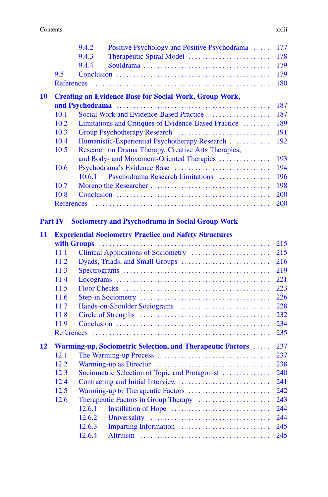|           |                | 9.4.2<br>Positive Psychology and Positive Psychodrama         | 177        |
|-----------|----------------|---------------------------------------------------------------|------------|
|           |                | 9.4.3<br>Therapeutic Spiral Model                             | 178        |
|           |                | 9.4.4                                                         | 179        |
|           | 9.5            |                                                               | 179        |
|           |                |                                                               | 180        |
| <b>10</b> |                | <b>Creating an Evidence Base for Social Work, Group Work,</b> |            |
|           |                |                                                               | 187        |
|           | 10.1           | Social Work and Evidence-Based Practice                       | 187        |
|           | 10.2           | Limitations and Critiques of Evidence-Based Practice          | 189        |
|           | 10.3           |                                                               | 191        |
|           | 10.4           | Humanistic-Experiential Psychotherapy Research                | 192        |
|           | 10.5           | Research on Drama Therapy, Creative Arts Therapies,           |            |
|           |                | and Body- and Movement-Oriented Therapies                     | 193        |
|           | 10.6           | Psychodrama's Evidence Base                                   | 194        |
|           |                | Psychodrama Research Limitations<br>10.6.1                    | 196        |
|           | 10.7           |                                                               | 198        |
|           | 10.8           |                                                               | 200        |
|           |                |                                                               | 200        |
|           | <b>Part IV</b> |                                                               |            |
|           |                | <b>Sociometry and Psychodrama in Social Group Work</b>        |            |
| 11        |                | <b>Experiential Sociometry Practice and Safety Structures</b> |            |
|           |                |                                                               | 215        |
|           | 11.1           |                                                               | 215        |
|           | 11.2           |                                                               | 216        |
|           | 11.3<br>11.4   |                                                               | 219<br>221 |
|           | 11.5           |                                                               | 223        |
|           | 11.6           |                                                               | 226        |
|           | 11.7           |                                                               | 228        |
|           | 11.8           |                                                               | 232        |
|           | 11.9           |                                                               | 234        |
|           |                |                                                               | 235        |
|           |                | Warming-up, Sociometric Selection, and Therapeutic Factors    |            |
| 12        |                |                                                               |            |
|           |                |                                                               | 237        |
|           | 12.1           |                                                               | 237        |
|           | 12.2           |                                                               | 238        |
|           | 12.3           | Sociometric Selection of Topic and Protagonist                | 240        |
|           | 12.4           |                                                               | 241        |
|           | 12.5           | Warming-up to Therapeutic Factors                             | 242        |
|           | 12.6           | Therapeutic Factors in Group Therapy                          | 243        |
|           |                | 12.6.1<br>Instillation of Hope                                | 244        |
|           |                | 12.6.2<br>12.6.3<br>Imparting Information                     | 244<br>245 |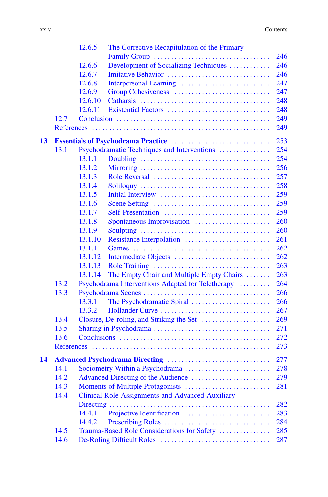|    |            | 12.6.5  | The Corrective Recapitulation of the Primary            |     |
|----|------------|---------|---------------------------------------------------------|-----|
|    |            |         |                                                         | 246 |
|    |            | 12.6.6  | Development of Socializing Techniques                   | 246 |
|    |            | 12.6.7  | Imitative Behavior                                      | 246 |
|    |            | 12.6.8  | Interpersonal Learning                                  | 247 |
|    |            | 12.6.9  | Group Cohesiveness                                      | 247 |
|    |            | 12.6.10 |                                                         | 248 |
|    |            | 12.6.11 | Existential Factors                                     | 248 |
|    | 12.7       |         |                                                         | 249 |
|    | References |         |                                                         | 249 |
| 13 |            |         | <b>Essentials of Psychodrama Practice </b>              | 253 |
|    | 13.1       |         | Psychodramatic Techniques and Interventions             | 254 |
|    |            | 13.1.1  |                                                         | 254 |
|    |            | 13.1.2  |                                                         | 256 |
|    |            | 13.1.3  |                                                         | 257 |
|    |            | 13.1.4  |                                                         | 258 |
|    |            | 13.1.5  | Initial Interview                                       | 259 |
|    |            | 13.1.6  |                                                         | 259 |
|    |            | 13.1.7  | Self-Presentation                                       | 259 |
|    |            | 13.1.8  | Spontaneous Improvisation                               | 260 |
|    |            | 13.1.9  |                                                         | 260 |
|    |            | 13.1.10 | Resistance Interpolation                                | 261 |
|    |            | 13.1.11 |                                                         | 262 |
|    |            | 13.1.12 |                                                         | 262 |
|    |            | 13.1.13 |                                                         | 263 |
|    |            | 13.1.14 | The Empty Chair and Multiple Empty Chairs               | 263 |
|    | 13.2       |         | Psychodrama Interventions Adapted for Teletherapy       | 264 |
|    | 13.3       |         |                                                         | 266 |
|    |            | 13.3.1  |                                                         | 266 |
|    |            | 13.3.2  | Hollander Curve                                         | 267 |
|    | 13.4       |         |                                                         | 269 |
|    | 13.5       |         |                                                         | 271 |
|    | 13.6       |         |                                                         | 272 |
|    |            |         |                                                         | 273 |
| 14 |            |         |                                                         | 277 |
|    | 14.1       |         |                                                         | 278 |
|    | 14.2       |         |                                                         | 279 |
|    | 14.3       |         |                                                         | 281 |
|    | 14.4       |         | <b>Clinical Role Assignments and Advanced Auxiliary</b> |     |
|    |            |         |                                                         | 282 |
|    |            | 14.4.1  | Projective Identification                               | 283 |
|    |            | 14.4.2  | Prescribing Roles                                       | 284 |
|    | 14.5       |         | Trauma-Based Role Considerations for Safety             | 285 |
|    | 14.6       |         |                                                         | 287 |
|    |            |         |                                                         |     |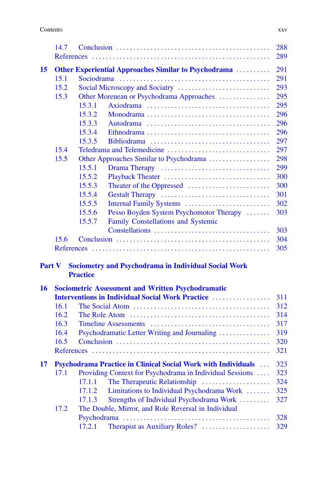|               | 14.7 |                                                                                        | 288<br>289 |
|---------------|------|----------------------------------------------------------------------------------------|------------|
| 15            |      | Other Experiential Approaches Similar to Psychodrama                                   | 291        |
|               | 15.1 |                                                                                        | 291        |
|               | 15.2 |                                                                                        | 293        |
|               | 15.3 | Other Morenean or Psychodrama Approaches                                               | 295        |
|               |      | 15.3.1                                                                                 | 295        |
|               |      | 15.3.2                                                                                 | 296        |
|               |      | 15.3.3                                                                                 | 296        |
|               |      | 15.3.4                                                                                 | 296        |
|               |      | 15.3.5                                                                                 | 297        |
|               | 15.4 |                                                                                        | 297        |
|               | 15.5 | Other Approaches Similar to Psychodrama                                                | 298        |
|               |      | 15.5.1<br>Drama Therapy                                                                | 299        |
|               |      | 15.5.2<br>Playback Theater                                                             | 300        |
|               |      | 15.5.3                                                                                 | 300        |
|               |      | 15.5.4                                                                                 | 301        |
|               |      | 15.5.5<br>Internal Family Systems                                                      | 302        |
|               |      | 15.5.6<br>Pesso Boyden System Psychomotor Therapy                                      | 303        |
|               |      | 15.5.7<br>Family Constellations and Systemic                                           |            |
|               |      |                                                                                        | 303        |
|               | 15.6 |                                                                                        | 304        |
|               |      |                                                                                        | 305        |
|               |      |                                                                                        |            |
| <b>Part V</b> |      | <b>Sociometry and Psychodrama in Individual Social Work</b>                            |            |
|               |      | <b>Practice</b>                                                                        |            |
| 16            |      | <b>Sociometric Assessment and Written Psychodramatic</b>                               |            |
|               |      | <b>Interventions in Individual Social Work Practice </b>                               | 311        |
|               | 16.1 |                                                                                        | 312        |
|               | 16.2 |                                                                                        | 314        |
|               | 16.3 |                                                                                        | 317        |
|               | 16.4 | Psychodramatic Letter Writing and Journaling                                           | 319        |
|               | 16.5 |                                                                                        | 320        |
|               |      |                                                                                        | 321        |
|               |      |                                                                                        |            |
| 17            |      | <b>Psychodrama Practice in Clinical Social Work with Individuals</b><br>$\mathbb{R}^2$ | 323        |
|               | 17.1 | Providing Context for Psychodrama in Individual Sessions                               | 323        |
|               |      | 17.1.1<br>The Therapeutic Relationship                                                 | 324        |
|               |      | Limitations to Individual Psychodrama Work<br>17.1.2                                   | 325        |
|               |      | Strengths of Individual Psychodrama Work<br>17.1.3                                     | 327        |
|               | 17.2 | The Double, Mirror, and Role Reversal in Individual                                    |            |
|               |      |                                                                                        |            |

| 7.2 The Double, Mirror, and Role Reversal in Individual |  |  |  |  |
|---------------------------------------------------------|--|--|--|--|
|                                                         |  |  |  |  |
|                                                         |  |  |  |  |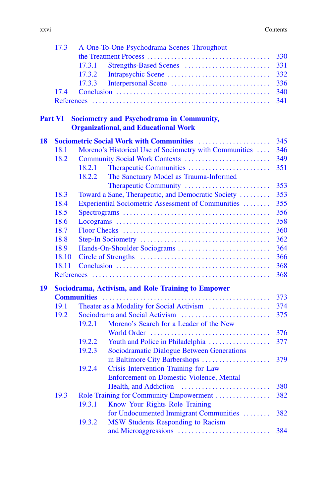| 17.3 | A One-To-One Psychodrama Scenes Throughout    |  |
|------|-----------------------------------------------|--|
|      |                                               |  |
|      |                                               |  |
|      |                                               |  |
|      |                                               |  |
| 174  |                                               |  |
|      |                                               |  |
|      |                                               |  |
|      | of VI Sociamatry and Develodrama in Community |  |

#### **Part VI Sociometry and Psychodrama in Community, Organizational, and Educational Work**

| 18 |       |                    | Sociometric Social Work with Communities               | 345 |
|----|-------|--------------------|--------------------------------------------------------|-----|
|    | 18.1  |                    | Moreno's Historical Use of Sociometry with Communities | 346 |
|    | 18.2  |                    |                                                        | 349 |
|    |       | 18.2.1             |                                                        | 351 |
|    |       | 18.2.2             | The Sanctuary Model as Trauma-Informed                 |     |
|    |       |                    | Therapeutic Community                                  | 353 |
|    | 18.3  |                    | Toward a Sane, Therapeutic, and Democratic Society     | 353 |
|    | 18.4  |                    | Experiential Sociometric Assessment of Communities     | 355 |
|    | 18.5  |                    |                                                        | 356 |
|    | 18.6  |                    |                                                        | 358 |
|    | 18.7  |                    |                                                        | 360 |
|    | 18.8  |                    |                                                        | 362 |
|    | 18.9  |                    |                                                        | 364 |
|    | 18.10 |                    |                                                        | 366 |
|    | 18.11 |                    |                                                        | 368 |
|    |       |                    |                                                        | 368 |
| 19 |       |                    | Sociodrama, Activism, and Role Training to Empower     |     |
|    |       | <b>Communities</b> |                                                        | 373 |
|    | 19.1  |                    | Theater as a Modality for Social Activism              | 374 |
|    | 19.2  |                    |                                                        | 375 |
|    |       | 19.2.1             | Moreno's Search for a Leader of the New                |     |
|    |       |                    |                                                        | 376 |
|    |       | 19.2.2             | Youth and Police in Philadelphia                       | 377 |
|    |       | 19.2.3             | <b>Sociodramatic Dialogue Between Generations</b>      |     |
|    |       |                    | in Baltimore City Barbershops                          | 379 |
|    |       | 19.2.4             | Crisis Intervention Training for Law                   |     |
|    |       |                    | <b>Enforcement on Domestic Violence, Mental</b>        |     |
|    |       |                    | Health, and Addiction                                  | 380 |
|    | 19.3  |                    | Role Training for Community Empowerment                | 382 |
|    |       | 19.3.1             | Know Your Rights Role Training                         |     |
|    |       |                    | for Undocumented Immigrant Communities                 | 382 |
|    |       | 19.3.2             | <b>MSW Students Responding to Racism</b>               |     |
|    |       |                    |                                                        | 384 |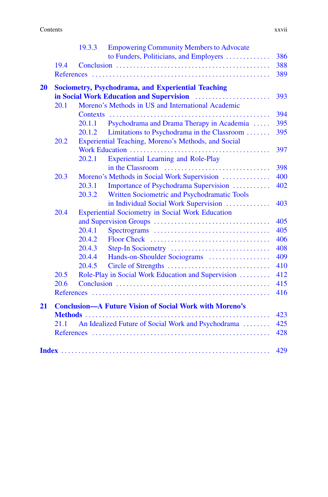|    |      | 19.3.3 | <b>Empowering Community Members to Advocate</b>                |     |
|----|------|--------|----------------------------------------------------------------|-----|
|    |      |        | to Funders, Politicians, and Employers                         | 386 |
|    | 19.4 |        |                                                                | 388 |
|    |      |        |                                                                | 389 |
| 20 |      |        | <b>Sociometry, Psychodrama, and Experiential Teaching</b>      |     |
|    |      |        |                                                                | 393 |
|    | 20.1 |        | Moreno's Methods in US and International Academic              |     |
|    |      |        |                                                                | 394 |
|    |      | 20.1.1 | Psychodrama and Drama Therapy in Academia                      | 395 |
|    |      | 20.1.2 | Limitations to Psychodrama in the Classroom                    | 395 |
|    | 20.2 |        | Experiential Teaching, Moreno's Methods, and Social            |     |
|    |      |        |                                                                | 397 |
|    |      | 20.2.1 | <b>Experiential Learning and Role-Play</b>                     |     |
|    |      |        |                                                                | 398 |
|    | 20.3 |        | Moreno's Methods in Social Work Supervision                    | 400 |
|    |      | 20.3.1 | Importance of Psychodrama Supervision                          | 402 |
|    |      | 20.3.2 | Written Sociometric and Psychodramatic Tools                   |     |
|    |      |        | in Individual Social Work Supervision                          | 403 |
|    | 20.4 |        | <b>Experiential Sociometry in Social Work Education</b>        |     |
|    |      |        |                                                                | 405 |
|    |      | 20.4.1 | $Spectrograms$                                                 | 405 |
|    |      | 20.4.2 |                                                                | 406 |
|    |      | 20.4.3 | Step-In Sociometry                                             | 408 |
|    |      | 20.4.4 | Hands-on-Shoulder Sociograms                                   | 409 |
|    |      | 20.4.5 | Circle of Strengths                                            | 410 |
|    | 20.5 |        | Role-Play in Social Work Education and Supervision             | 412 |
|    | 20.6 |        |                                                                | 415 |
|    |      |        |                                                                | 416 |
| 21 |      |        | <b>Conclusion-A Future Vision of Social Work with Moreno's</b> |     |
|    |      |        |                                                                | 423 |
|    | 21.1 |        | An Idealized Future of Social Work and Psychodrama             | 425 |
|    |      |        |                                                                | 428 |
|    |      |        |                                                                | 429 |
|    |      |        |                                                                |     |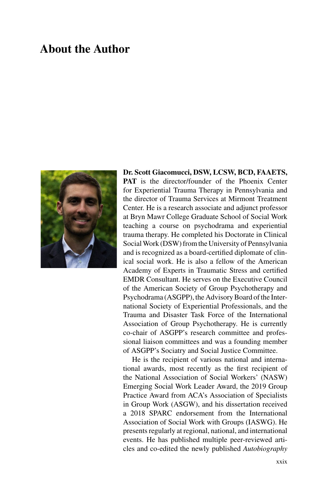#### **About the Author**



**Dr. Scott Giacomucci, DSW, LCSW, BCD, FAAETS,** PAT is the director/founder of the Phoenix Center for Experiential Trauma Therapy in Pennsylvania and the director of Trauma Services at Mirmont Treatment Center. He is a research associate and adjunct professor at Bryn Mawr College Graduate School of Social Work teaching a course on psychodrama and experiential trauma therapy. He completed his Doctorate in Clinical SocialWork (DSW) from the University of Pennsylvania and is recognized as a board-certified diplomate of clinical social work. He is also a fellow of the American Academy of Experts in Traumatic Stress and certified EMDR Consultant. He serves on the Executive Council of the American Society of Group Psychotherapy and Psychodrama (ASGPP), the Advisory Board of the International Society of Experiential Professionals, and the Trauma and Disaster Task Force of the International Association of Group Psychotherapy. He is currently co-chair of ASGPP's research committee and professional liaison committees and was a founding member of ASGPP's Sociatry and Social Justice Committee.

He is the recipient of various national and international awards, most recently as the first recipient of the National Association of Social Workers' (NASW) Emerging Social Work Leader Award, the 2019 Group Practice Award from ACA's Association of Specialists in Group Work (ASGW), and his dissertation received a 2018 SPARC endorsement from the International Association of Social Work with Groups (IASWG). He presents regularly at regional, national, and international events. He has published multiple peer-reviewed articles and co-edited the newly published *Autobiography*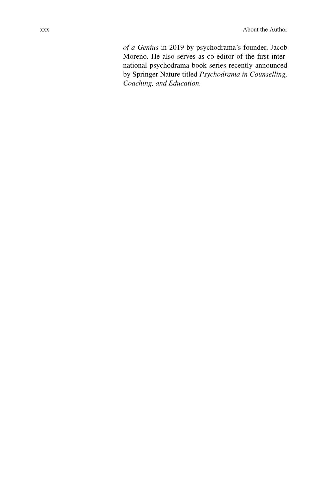*of a Genius* in 2019 by psychodrama's founder, Jacob Moreno. He also serves as co-editor of the first international psychodrama book series recently announced by Springer Nature titled *Psychodrama in Counselling, Coaching, and Education*.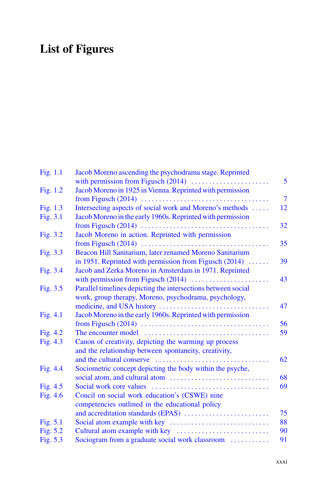# **List of Figures**

| Fig. $1.1$ | Jacob Moreno ascending the psychodrama stage. Reprinted       |
|------------|---------------------------------------------------------------|
|            |                                                               |
| Fig. $1.2$ | Jacob Moreno in 1925 in Vienna. Reprinted with permission     |
|            |                                                               |
| Fig. 1.3   | Intersecting aspects of social work and Moreno's methods      |
| Fig. 3.1   | Jacob Moreno in the early 1960s. Reprinted with permission    |
|            |                                                               |
| Fig. 3.2   | Jacob Moreno in action. Reprinted with permission             |
|            |                                                               |
| Fig. 3.3   | Beacon Hill Sanitarium, later renamed Moreno Sanitarium       |
|            | in 1951. Reprinted with permission from Figusch $(2014)$      |
| Fig. $3.4$ | Jacob and Zerka Moreno in Amsterdam in 1971. Reprinted        |
|            |                                                               |
| Fig. 3.5   | Parallel timelines depicting the intersections between social |
|            | work, group therapy, Moreno, psychodrama, psychology,         |
|            |                                                               |
| Fig. $4.1$ | Jacob Moreno in the early 1960s. Reprinted with permission    |
|            |                                                               |
| Fig. 4.2   |                                                               |
| Fig. 4.3   | Canon of creativity, depicting the warming up process         |
|            | and the relationship between spontaneity, creativity,         |
|            |                                                               |
| Fig. 4.4   | Sociometric concept depicting the body within the psyche,     |
|            |                                                               |
| Fig. $4.5$ |                                                               |
| Fig. 4.6   | Coucil on social work education's (CSWE) nine                 |
|            | competencies outlined in the educational policy               |
|            |                                                               |
| Fig. $5.1$ |                                                               |
| Fig. 5.2   |                                                               |
| Fig. 5.3   | Sociogram from a graduate social work classroom               |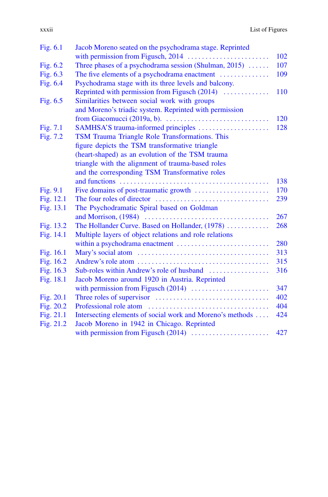| Fig. 6.1  | Jacob Moreno seated on the psychodrama stage. Reprinted   |     |
|-----------|-----------------------------------------------------------|-----|
|           |                                                           | 102 |
| Fig. 6.2  | Three phases of a psychodrama session (Shulman, 2015)     | 107 |
| Fig. 6.3  | The five elements of a psychodrama enactment              | 109 |
| Fig. 6.4  | Psychodrama stage with its three levels and balcony.      |     |
|           | Reprinted with permission from Figusch (2014)             | 110 |
| Fig. 6.5  | Similarities between social work with groups              |     |
|           | and Moreno's triadic system. Reprinted with permission    |     |
|           |                                                           | 120 |
| Fig. 7.1  | SAMHSA'S trauma-informed principles                       | 128 |
| Fig. 7.2  | TSM Trauma Triangle Role Transformations. This            |     |
|           | figure depicts the TSM transformative triangle            |     |
|           | (heart-shaped) as an evolution of the TSM trauma          |     |
|           | triangle with the alignment of trauma-based roles         |     |
|           | and the corresponding TSM Transformative roles            |     |
|           |                                                           | 138 |
| Fig. 9.1  |                                                           | 170 |
| Fig. 12.1 |                                                           | 239 |
| Fig. 13.1 | The Psychodramatic Spiral based on Goldman                |     |
|           |                                                           | 267 |
| Fig. 13.2 | The Hollander Curve. Based on Hollander, (1978)           | 268 |
| Fig. 14.1 | Multiple layers of object relations and role relations    |     |
|           |                                                           | 280 |
| Fig. 16.1 |                                                           | 313 |
| Fig. 16.2 |                                                           | 315 |
| Fig. 16.3 | Sub-roles within Andrew's role of husband                 | 316 |
| Fig. 18.1 | Jacob Moreno around 1920 in Austria. Reprinted            |     |
|           |                                                           | 347 |
| Fig. 20.1 |                                                           | 402 |
| Fig. 20.2 |                                                           | 404 |
| Fig. 21.1 | Intersecting elements of social work and Moreno's methods | 424 |
| Fig. 21.2 | Jacob Moreno in 1942 in Chicago. Reprinted                |     |
|           |                                                           | 427 |